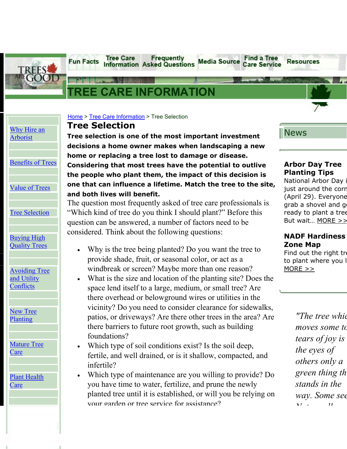

# **ORMATION**

**Information Asked Questions** 

**Frequently** 

**Tree Care** 

|                                            | Home > Tree Care Information > Tree Selection                             |
|--------------------------------------------|---------------------------------------------------------------------------|
| Why Hire an                                | <b>Tree Selection</b>                                                     |
| Arborist                                   | Tree selection is one of the most important investment                    |
|                                            | decisions a home owner makes when landscaping a new                       |
|                                            | home or replacing a tree lost to damage or disease.                       |
| <b>Benefits of Trees</b>                   | Considering that most trees have the potential to outlive                 |
|                                            | the people who plant them, the impact of this decision is                 |
| <b>Value of Trees</b>                      | one that can influence a lifetime. Match the tree to the site,            |
|                                            | and both lives will benefit.                                              |
|                                            | The question most frequently asked of tree care professionals is          |
| <b>Tree Selection</b>                      | "Which kind of tree do you think I should plant?" Before this             |
|                                            | question can be answered, a number of factors need to be                  |
|                                            | considered. Think about the following questions:                          |
| <b>Buying High</b><br><b>Quality Trees</b> |                                                                           |
|                                            | Why is the tree being planted? Do you want the tree to<br>$\bullet$       |
|                                            | provide shade, fruit, or seasonal color, or act as a                      |
| <b>Avoiding Tree</b>                       | windbreak or screen? Maybe more than one reason?                          |
| and Utility                                | What is the size and location of the planting site? Does the<br>$\bullet$ |
| Conflicts                                  | space lend itself to a large, medium, or small tree? Are                  |
|                                            | there overhead or belowground wires or utilities in the                   |
| <b>New Tree</b>                            | vicinity? Do you need to consider clearance for sidewalks,                |
| Planting                                   | patios, or driveways? Are there other trees in the area? Are              |
|                                            | there barriers to future root growth, such as building                    |
|                                            | foundations?                                                              |
| <b>Mature Tree</b><br><u>Care</u>          | Which type of soil conditions exist? Is the soil deep,<br>$\bullet$       |
|                                            | fertile, and well drained, or is it shallow, compacted, and               |
|                                            | infertile?                                                                |
| <b>Plant Health</b>                        | Which type of maintenance are you willing to provide? Do                  |
| <u>Care</u>                                | you have time to water, fertilize, and prune the newly                    |
|                                            | planted tree until it is established, or will you be relying on           |
|                                            | vour garden or tree service for assistance?                               |
|                                            |                                                                           |

### News

**Resources** 

**Media Source** 

**Find a Tree** 

**Care Service** 

### **Arbor Day Tree Planting Tips**

National Arbor Day i just around the corn (April 29). Everyone grab a shovel and g ready to plant a tree But wait... [MORE](http://www.treesaregood.com/pressrelease/press/arbor-day.aspx) >>

#### **NADF Hardiness Zone Map**

Find out the right tre to plant where you l  $MORE$ 

> *"The tree whic moves some to tears of joy is the eyes of others only a green thing th stands in the way. Some see N t ll*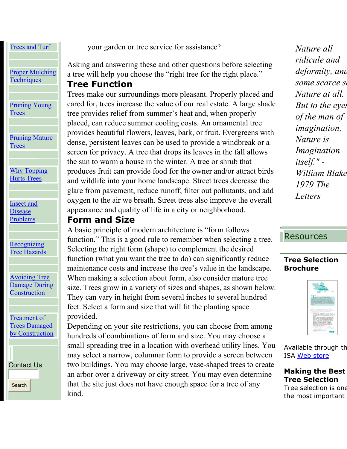### Trees and [Turf](http://www.treesaregood.com/treecare/trees_turf.aspx)

[Proper Mulching](http://www.treesaregood.com/treecare/mulching.aspx) **T[echniques](http://www.treesaregood.com/treecare/mulching.aspx)** 

[Pruning Young](http://www.treesaregood.com/treecare/pruning_young.aspx) T[rees](http://www.treesaregood.com/treecare/pruning_young.aspx)

[Pruning Mature](http://www.treesaregood.com/treecare/pruning_mature.aspx) **T[rees](http://www.treesaregood.com/treecare/pruning_mature.aspx)** 

[Why Topping](http://www.treesaregood.com/treecare/topping.aspx) Hurts [Trees](http://www.treesaregood.com/treecare/topping.aspx)

[Insect and](http://www.treesaregood.com/treecare/insect_disease.aspx) [Disease](http://www.treesaregood.com/treecare/insect_disease.aspx) P[roblems](http://www.treesaregood.com/treecare/insect_disease.aspx)

**[Recognizing](http://www.treesaregood.com/treecare/hazards.aspx)** Tree [Hazards](http://www.treesaregood.com/treecare/hazards.aspx)

[Avoiding Tree](http://www.treesaregood.com/treecare/avoiding_construction.aspx) [Damage During](http://www.treesaregood.com/treecare/avoiding_construction.aspx) **[Construction](http://www.treesaregood.com/treecare/avoiding_construction.aspx)** 

[Treatment of](http://www.treesaregood.com/treecare/treatment_construction.aspx) [Trees Damaged](http://www.treesaregood.com/treecare/treatment_construction.aspx) by [Construction](http://www.treesaregood.com/treecare/treatment_construction.aspx)

[Contact](http://www.treesaregood.com/Contact/Contact.aspx) Us Search

your garden or tree service for assistance?

Asking and answering these and other questions before selecting a tree will help you choose the "right tree for the right place."

### **Tree Function**

Trees make our surroundings more pleasant. Properly placed and cared for, trees increase the value of our real estate. A large shade tree provides relief from summer's heat and, when properly placed, can reduce summer cooling costs. An ornamental tree provides beautiful flowers, leaves, bark, or fruit. Evergreens with dense, persistent leaves can be used to provide a windbreak or a screen for privacy. A tree that drops its leaves in the fall allows the sun to warm a house in the winter. A tree or shrub that produces fruit can provide food for the owner and/or attract birds and wildlife into your home landscape. Street trees decrease the glare from pavement, reduce runoff, filter out pollutants, and add oxygen to the air we breath. Street trees also improve the overall appearance and quality of life in a city or neighborhood.

### **Form and Size**

A basic principle of modern architecture is "form follows function." This is a good rule to remember when selecting a tree. Selecting the right form (shape) to complement the desired function (what you want the tree to do) can significantly reduce maintenance costs and increase the tree's value in the landscape. When making a selection about form, also consider mature tree size. Trees grow in a variety of sizes and shapes, as shown below. They can vary in height from several inches to several hundred feet. Select a form and size that will fit the planting space provided.

Depending on your site restrictions, you can choose from among hundreds of combinations of form and size. You may choose a small-spreading tree in a location with overhead utility lines. You may select a narrow, columnar form to provide a screen between two buildings. You may choose large, vase-shaped trees to create an arbor over a driveway or city street. You may even determine that the site just does not have enough space for a tree of any kind.

*Nature all ridicule and deformity, and some scarce se Nature at all. But to the eyes of the man of imagination, Nature is Imagination itself." - William Blake 1979 The Letters* 

# Resources

#### **Tree Selection Brochure**



Available through th ISA [Web store](http://secure.isa-arbor.com/store/Brochures-C5.aspx)

**Making the Best Tree Selection** 

Tree selection is one the most important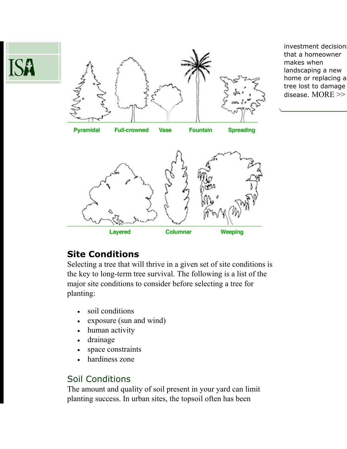



investment decision that a homeowner makes when landscaping a new home or replacing a tree lost to damage disease. [MORE >>](http://www.treesaregood.com/pressrelease/press/TreeSelection.aspx)



# **Site Conditions**

Selecting a tree that will thrive in a given set of site conditions is the key to long-term tree survival. The following is a list of the major site conditions to consider before selecting a tree for planting:

- soil conditions
- exposure (sun and wind)
- human activity
- drainage
- space constraints
- hardiness zone

# Soil Conditions

The amount and quality of soil present in your yard can limit planting success. In urban sites, the topsoil often has been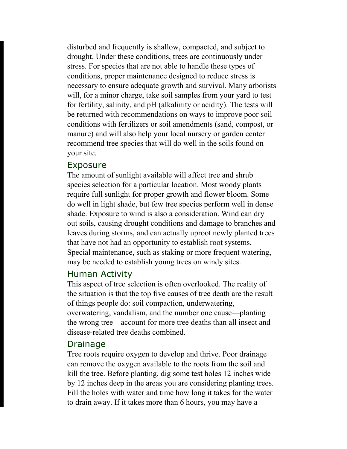disturbed and frequently is shallow, compacted, and subject to drought. Under these conditions, trees are continuously under stress. For species that are not able to handle these types of conditions, proper maintenance designed to reduce stress is necessary to ensure adequate growth and survival. Many arborists will, for a minor charge, take soil samples from your yard to test for fertility, salinity, and pH (alkalinity or acidity). The tests will be returned with recommendations on ways to improve poor soil conditions with fertilizers or soil amendments (sand, compost, or manure) and will also help your local nursery or garden center recommend tree species that will do well in the soils found on your site.

### Exposure

The amount of sunlight available will affect tree and shrub species selection for a particular location. Most woody plants require full sunlight for proper growth and flower bloom. Some do well in light shade, but few tree species perform well in dense shade. Exposure to wind is also a consideration. Wind can dry out soils, causing drought conditions and damage to branches and leaves during storms, and can actually uproot newly planted trees that have not had an opportunity to establish root systems. Special maintenance, such as staking or more frequent watering, may be needed to establish young trees on windy sites.

### Human Activity

This aspect of tree selection is often overlooked. The reality of the situation is that the top five causes of tree death are the result of things people do: soil compaction, underwatering, overwatering, vandalism, and the number one cause—planting the wrong tree—account for more tree deaths than all insect and disease-related tree deaths combined.

### Drainage

Tree roots require oxygen to develop and thrive. Poor drainage can remove the oxygen available to the roots from the soil and kill the tree. Before planting, dig some test holes 12 inches wide by 12 inches deep in the areas you are considering planting trees. Fill the holes with water and time how long it takes for the water to drain away. If it takes more than 6 hours, you may have a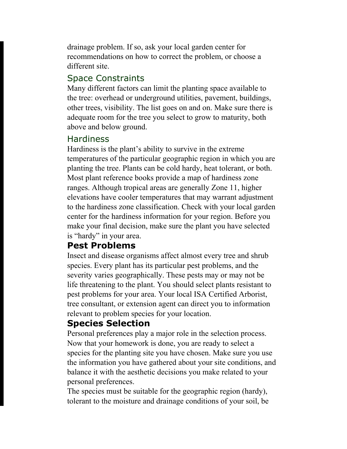drainage problem. If so, ask your local garden center for recommendations on how to correct the problem, or choose a different site.

## Space Constraints

Many different factors can limit the planting space available to the tree: overhead or underground utilities, pavement, buildings, other trees, visibility. The list goes on and on. Make sure there is adequate room for the tree you select to grow to maturity, both above and below ground.

### **Hardiness**

Hardiness is the plant's ability to survive in the extreme temperatures of the particular geographic region in which you are planting the tree. Plants can be cold hardy, heat tolerant, or both. Most plant reference books provide a map of hardiness zone ranges. Although tropical areas are generally Zone 11, higher elevations have cooler temperatures that may warrant adjustment to the hardiness zone classification. Check with your local garden center for the hardiness information for your region. Before you make your final decision, make sure the plant you have selected is "hardy" in your area.

# **Pest Problems**

Insect and disease organisms affect almost every tree and shrub species. Every plant has its particular pest problems, and the severity varies geographically. These pests may or may not be life threatening to the plant. You should select plants resistant to pest problems for your area. Your local ISA Certified Arborist, tree consultant, or extension agent can direct you to information relevant to problem species for your location.

# **Species Selection**

Personal preferences play a major role in the selection process. Now that your homework is done, you are ready to select a species for the planting site you have chosen. Make sure you use the information you have gathered about your site conditions, and balance it with the aesthetic decisions you make related to your personal preferences.

The species must be suitable for the geographic region (hardy), tolerant to the moisture and drainage conditions of your soil, be